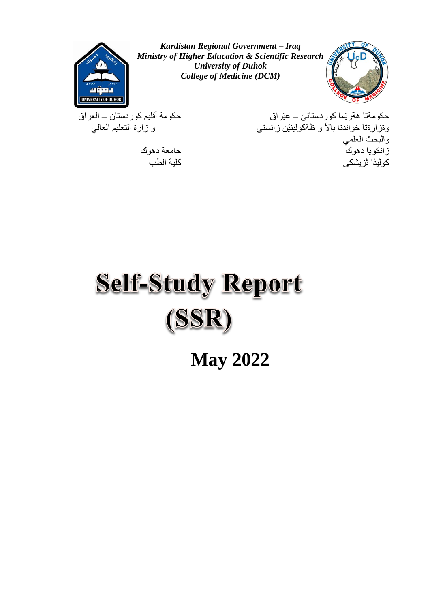

*Kurdistan Regional Government – Iraq Ministry of Higher Education & Scientific Research University of Duhok College of Medicine (DCM)*



َى حكومةتا هةريَما كوردستان – عيَراق حكومة أقليم كوردستان – العراق وةزارةتا خواندنا باالَ و ظةكولينيَن زانستى و زارة التعليم العالي والبحث العلمي زانكويا دهوك جامعة دهوك كو لبذا ثز بشكى

# **Self-Study Report** (SSR)

**May 2022**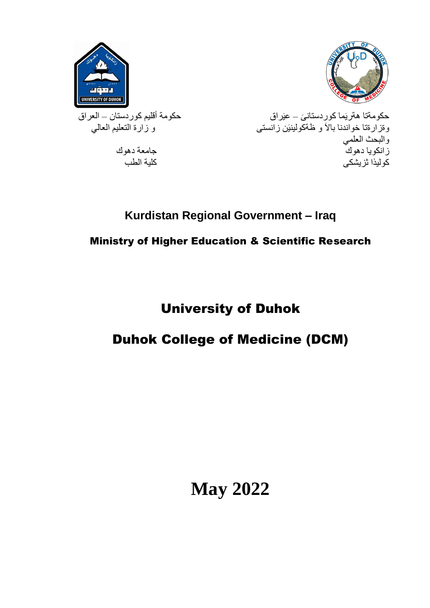



َى حكومةتا هةريَما كوردستان – عيَراق حكومة أقليم كوردستان – العراق حكومةتا هةريَما كوردستانــى ـــ عيَراق<br>وةزارةتا خواندنا بالاَ و ظةكولينيَن زانستى والبحث العلمي زانكويا دهوك جامعة دهوك جامعة دهوك جامعة دهوك جامعة دهوك جامعة دهوك جامعة دهوك جامعة دهوك جامعة دهوك جامعة دهوك<br>كوليدا تزيشكي كوليذا ثز يشكى

### **Kurdistan Regional Government – Iraq**

### Ministry of Higher Education & Scientific Research

## University of Duhok

### Duhok College of Medicine (DCM)

**May 2022**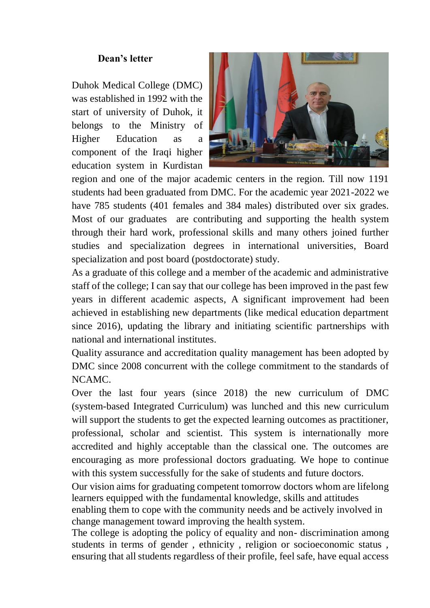#### **Dean's letter**

Duhok Medical College (DMC) was established in 1992 with the start of university of Duhok, it belongs to the Ministry of Higher Education as a component of the Iraqi higher education system in Kurdistan



region and one of the major academic centers in the region. Till now 1191 students had been graduated from DMC. For the academic year 2021-2022 we have 785 students (401 females and 384 males) distributed over six grades. Most of our graduates are contributing and supporting the health system through their hard work, professional skills and many others joined further studies and specialization degrees in international universities, Board specialization and post board (postdoctorate) study.

As a graduate of this college and a member of the academic and administrative staff of the college; I can say that our college has been improved in the past few years in different academic aspects, A significant improvement had been achieved in establishing new departments (like medical education department since 2016), updating the library and initiating scientific partnerships with national and international institutes.

Quality assurance and accreditation quality management has been adopted by DMC since 2008 concurrent with the college commitment to the standards of NCAMC.

Over the last four years (since 2018) the new curriculum of DMC (system-based Integrated Curriculum) was lunched and this new curriculum will support the students to get the expected learning outcomes as practitioner, professional, scholar and scientist. This system is internationally more accredited and highly acceptable than the classical one. The outcomes are encouraging as more professional doctors graduating. We hope to continue with this system successfully for the sake of students and future doctors.

Our vision aims for graduating competent tomorrow doctors whom are lifelong learners equipped with the fundamental knowledge, skills and attitudes enabling them to cope with the community needs and be actively involved in

change management toward improving the health system. The college is adopting the policy of equality and non- discrimination among students in terms of gender , ethnicity , religion or socioeconomic status , ensuring that all students regardless of their profile, feel safe, have equal access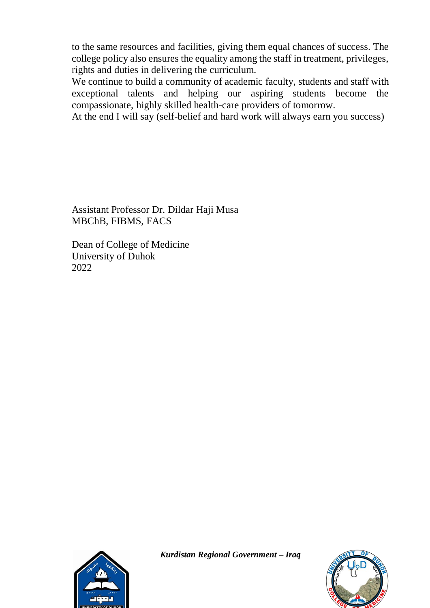to the same resources and facilities, giving them equal chances of success. The college policy also ensures the equality among the staff in treatment, privileges, rights and duties in delivering the curriculum.

We continue to build a community of academic faculty, students and staff with exceptional talents and helping our aspiring students become the compassionate, highly skilled health-care providers of tomorrow.

At the end I will say (self-belief and hard work will always earn you success)

Assistant Professor Dr. Dildar Haji Musa MBChB, FIBMS, FACS

Dean of College of Medicine University of Duhok 2022



*Kurdistan Regional Government – Iraq* 

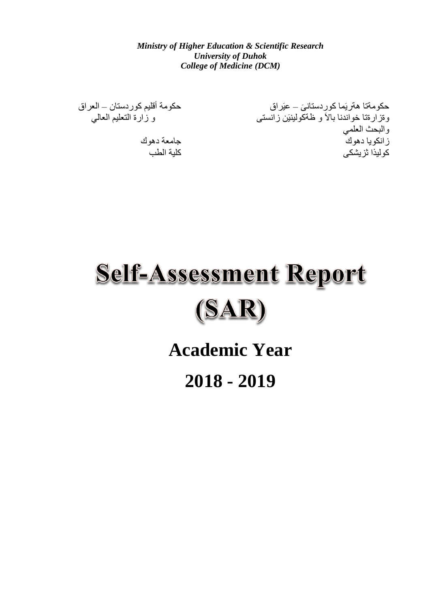*Ministry of Higher Education & Scientific Research University of Duhok College of Medicine (DCM)*

حكومة أقليم كوردستان – العراق<br>و زارة التعليم العالي

حکومةتا هةريَما کوردستانيَ ــ عيَراق و ةز ار ةتا خو اندنا بالاً و ظةكولينيَن ز انستى والبحث العلمي زانكويا دهوك بين المستخدم المستخدم والمستخدم والمستخدم المستخدم المستخدم المستخدم المستخدم المستخدم المستخدم ا<br>كو لبذا ثر يشكي كو ليذا ثز يشكى

# **Self-Assessment Report**  $(SAR)$

**Academic Year**

**2018 - 2019**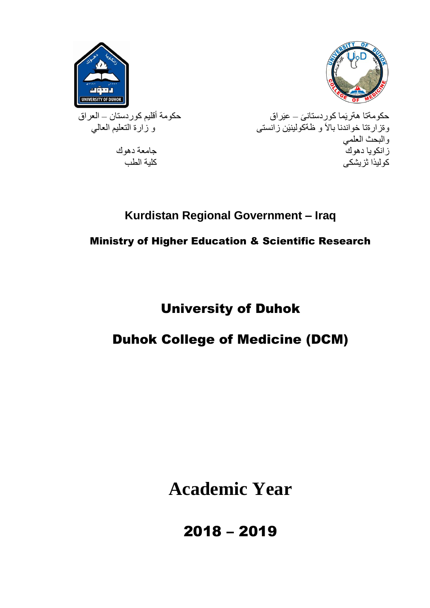



َى حكومةتا هةريَما كوردستان – عيَراق حكومة أقليم كوردستان – العراق .<br>وةزارةتا خواندنا بالاً و ظةكولينيَن زانستى مستخدم التعليم العالمي العالمي والبحث العلمي زانكويا دهوك جامعة دهوك جامعة دهوك جامعة دهوك جامعة دهوك جامعة دهوك جامعة دهوك جامعة دهوك جامعة دهوك جامعة دهوك<br>كه لبذا تزييشك كوليذا ثز يشكى

### **Kurdistan Regional Government – Iraq**

### Ministry of Higher Education & Scientific Research

## University of Duhok

### Duhok College of Medicine (DCM)

**Academic Year**

2018 – 2019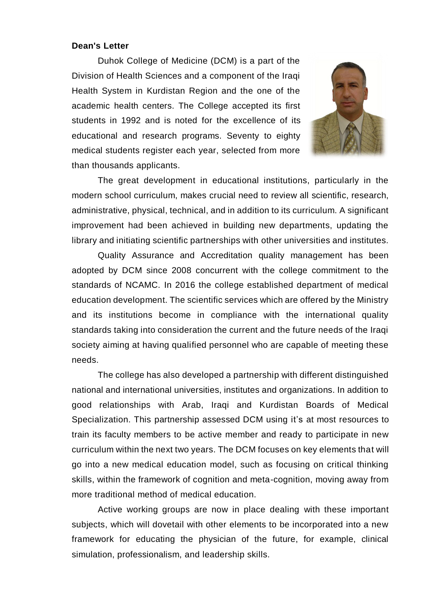#### **Dean's Letter**

Duhok College of Medicine (DCM) is a part of the Division of Health Sciences and a component of the Iraqi Health System in Kurdistan Region and the one of the academic health centers. The College accepted its first students in 1992 and is noted for the excellence of its educational and research programs. Seventy to eighty medical students register each year, selected from more than thousands applicants.



The great development in educational institutions, particularly in the modern school curriculum, makes crucial need to review all scientific, research, administrative, physical, technical, and in addition to its curriculum. A significant improvement had been achieved in building new departments, updating the library and initiating scientific partnerships with other universities and institutes.

Quality Assurance and Accreditation quality management has been adopted by DCM since 2008 concurrent with the college commitment to the standards of NCAMC. In 2016 the college established department of medical education development. The scientific services which are offered by the Ministry and its institutions become in compliance with the international quality standards taking into consideration the current and the future needs of the Iraqi society aiming at having qualified personnel who are capable of meeting these needs.

The college has also developed a partnership with different distinguished national and international universities, institutes and organizations. In addition to good relationships with Arab, Iraqi and Kurdistan Boards of Medical Specialization. This partnership assessed DCM using it's at most resources to train its faculty members to be active member and ready to participate in new curriculum within the next two years. The DCM focuses on key elements that will go into a new medical education model, such as focusing on critical thinking skills, within the framework of cognition and meta-cognition, moving away from more traditional method of medical education.

Active working groups are now in place dealing with these important subjects, which will dovetail with other elements to be incorporated into a new framework for educating the physician of the future, for example, clinical simulation, professionalism, and leadership skills.